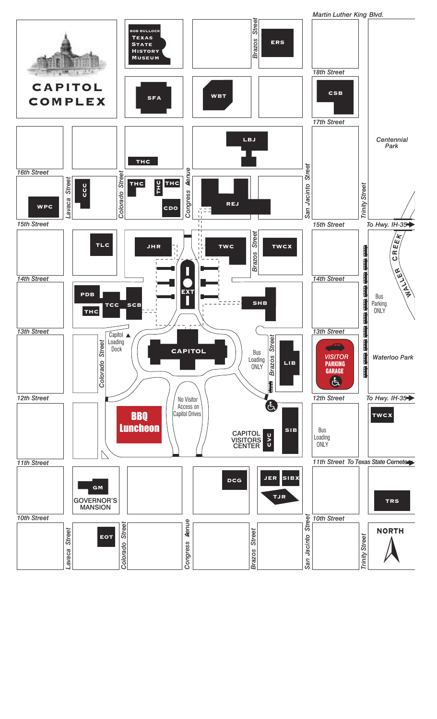